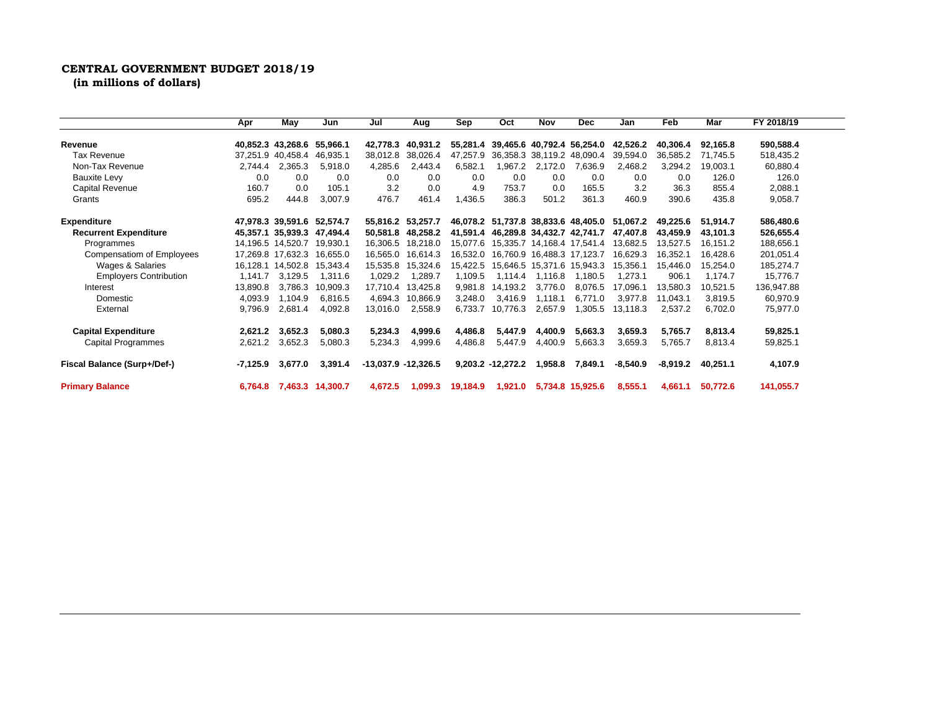## **CENTRAL GOVERNMENT BUDGET 2018/19**

**(in millions of dollars)**

|                                  | Apr      | May               | Jun              | Jul                   | Aug               | Sep      | Oct                                 | Nov               | Dec              | Jan        | Feb        | Mar      | FY 2018/19 |
|----------------------------------|----------|-------------------|------------------|-----------------------|-------------------|----------|-------------------------------------|-------------------|------------------|------------|------------|----------|------------|
| Revenue                          |          | 40,852.3 43,268.6 | 55.966.1         | 42,778.3              | 40,931.2          | 55,281.4 | 39,465.6 40,792.4                   |                   | 56,254.0         | 42,526.2   | 40,306.4   | 92.165.8 | 590,588.4  |
| <b>Tax Revenue</b>               |          | 37,251.9 40,458.4 | 46.935.1         | 38,012.8              | 38,026.4          | 47.257.9 |                                     | 36,358.3 38,119.2 | 48.090.4         | 39.594.0   | 36,585.2   | 71.745.5 | 518,435.2  |
| Non-Tax Revenue                  | 2,744.4  | 2,365.3           | 5,918.0          | 4,285.6               | 2,443.4           | 6,582.1  | 1,967.2                             | 2,172.0           | 7,636.9          | 2,468.2    | 3,294.2    | 19,003.1 | 60,880.4   |
| <b>Bauxite Levy</b>              | 0.0      | 0.0               | 0.0              | 0.0                   | 0.0               | 0.0      | 0.0                                 | 0.0               | 0.0              | 0.0        | 0.0        | 126.0    | 126.0      |
| Capital Revenue                  | 160.7    | 0.0               | 105.1            | 3.2                   | 0.0               | 4.9      | 753.7                               | 0.0               | 165.5            | 3.2        | 36.3       | 855.4    | 2,088.1    |
| Grants                           | 695.2    | 444.8             | 3,007.9          | 476.7                 | 461.4             | 1,436.5  | 386.3                               | 501.2             | 361.3            | 460.9      | 390.6      | 435.8    | 9,058.7    |
| <b>Expenditure</b>               |          | 47,978.3 39,591.6 | 52,574.7         |                       | 55,816.2 53,257.7 |          | 46,078.2 51,737.8 38,833.6 48,405.0 |                   |                  | 51.067.2   | 49.225.6   | 51,914.7 | 586,480.6  |
| <b>Recurrent Expenditure</b>     |          | 45.357.1 35.939.3 | 47.494.4         | 50,581.8              | 48.258.2          | 41.591.4 | 46.289.8 34.432.7                   |                   | 42.741.7         | 47.407.8   | 43.459.9   | 43.101.3 | 526,655.4  |
| Programmes                       |          | 14,196.5 14,520.7 | 19.930.1         | 16,306.5              | 18,218.0          | 15.077.6 | 15.335.7 14.168.4                   |                   | 17.541.4         | 13,682.5   | 13,527.5   | 16,151.2 | 188,656.1  |
| <b>Compensatiom of Employees</b> |          | 17,269.8 17,632.3 | 16.655.0         | 16,565.0              | 16,614.3          | 16.532.0 | 16,760.9 16,488.3                   |                   | 17.123.7         | 16,629.3   | 16.352.1   | 16,428.6 | 201,051.4  |
| Wages & Salaries                 | 16,128.1 | 14,502.8          | 15,343.4         | 15,535.8              | 15,324.6          | 15.422.5 | 15,646.5 15,371.6                   |                   | 15,943.3         | 15.356.1   | 15.446.0   | 15,254.0 | 185,274.7  |
| <b>Employers Contribution</b>    | 1,141.7  | 3,129.5           | 1,311.6          | 1,029.2               | 1.289.7           | 1,109.5  | 1.114.4                             | 1.116.8           | 1,180.5          | 1,273.1    | 906.1      | 1,174.7  | 15,776.7   |
| Interest                         | 13,890.8 | 3,786.3           | 10.909.3         | 17,710.4              | 13.425.8          | 9,981.8  | 14.193.2                            | 3,776.0           | 8,076.5          | 17.096.1   | 13.580.3   | 10,521.5 | 136,947.88 |
| Domestic                         | 4,093.9  | 1,104.9           | 6,816.5          | 4,694.3               | 10,866.9          | 3,248.0  | 3,416.9                             | 1,118.1           | 6,771.0          | 3,977.8    | 11.043.1   | 3,819.5  | 60,970.9   |
| External                         | 9,796.9  | 2,681.4           | 4,092.8          | 13,016.0              | 2,558.9           | 6.733.7  | 10,776.3                            | 2,657.9           | 1,305.5          | 13,118.3   | 2,537.2    | 6,702.0  | 75,977.0   |
| <b>Capital Expenditure</b>       | 2,621.2  | 3,652.3           | 5,080.3          | 5,234.3               | 4,999.6           | 4,486.8  | 5,447.9                             | 4,400.9           | 5,663.3          | 3,659.3    | 5,765.7    | 8,813.4  | 59,825.1   |
| <b>Capital Programmes</b>        | 2,621.2  | 3,652.3           | 5,080.3          | 5,234.3               | 4,999.6           | 4,486.8  | 5,447.9                             | 4,400.9           | 5,663.3          | 3,659.3    | 5,765.7    | 8,813.4  | 59,825.1   |
| Fiscal Balance (Surp+/Def-)      | -7,125.9 | 3,677.0           | 3,391.4          | $-13,037.9 -12,326.5$ |                   |          | $9,203.2 -12,272.2$                 | 1,958.8           | 7,849.1          | $-8,540.9$ | $-8,919.2$ | 40,251.1 | 4,107.9    |
| <b>Primary Balance</b>           | 6,764.8  |                   | 7,463.3 14,300.7 | 4,672.5               | 1,099.3           | 19,184.9 | 1,921.0                             |                   | 5,734.8 15,925.6 | 8,555.1    | 4,661.1    | 50,772.6 | 141,055.7  |